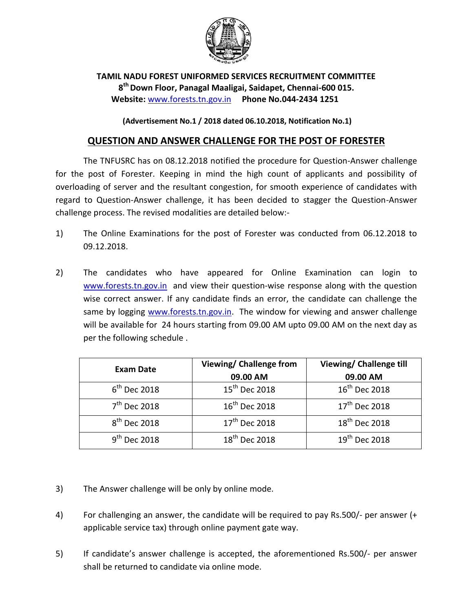

**TAMIL NADU FOREST UNIFORMED SERVICES RECRUITMENT COMMITTEE 8 th Down Floor, Panagal Maaligai, Saidapet, Chennai-600 015. Website:** [www.forests.tn.gov.in](http://www.forests.tn.gov.in/) **Phone No.044-2434 1251**

**(Advertisement No.1 / 2018 dated 06.10.2018, Notification No.1)**

## **QUESTION AND ANSWER CHALLENGE FOR THE POST OF FORESTER**

The TNFUSRC has on 08.12.2018 notified the procedure for Question-Answer challenge for the post of Forester. Keeping in mind the high count of applicants and possibility of overloading of server and the resultant congestion, for smooth experience of candidates with regard to Question-Answer challenge, it has been decided to stagger the Question-Answer challenge process. The revised modalities are detailed below:-

- 1) The Online Examinations for the post of Forester was conducted from 06.12.2018 to 09.12.2018.
- 2) The candidates who have appeared for Online Examination can login to [www.forests.tn.gov.in](file:///C:/Users/GIS/Desktop/RECRUITMENT/Answer%20Challenge%2008-12-18/www.forests.tn.gov.in) and view their question-wise response along with the question wise correct answer. If any candidate finds an error, the candidate can challenge the same by logging [www.forests.tn.gov.in.](file:///C:/Users/GIS/Desktop/RECRUITMENT/Answer%20Challenge%2008-12-18/www.forests.tn.gov.in) The window for viewing and answer challenge will be available for 24 hours starting from 09.00 AM upto 09.00 AM on the next day as per the following schedule .

| <b>Exam Date</b>  | Viewing/ Challenge from   | Viewing/ Challenge till   |
|-------------------|---------------------------|---------------------------|
|                   | 09.00 AM                  | 09.00 AM                  |
| $6th$ Dec 2018    | 15 <sup>th</sup> Dec 2018 | $16^{\text{th}}$ Dec 2018 |
| $7th$ Dec 2018    | $16^{\text{th}}$ Dec 2018 | 17 <sup>th</sup> Dec 2018 |
| $8th$ Dec 2018    | 17 <sup>th</sup> Dec 2018 | 18 <sup>th</sup> Dec 2018 |
| $9^{th}$ Dec 2018 | 18 <sup>th</sup> Dec 2018 | $19^{th}$ Dec 2018        |

- 3) The Answer challenge will be only by online mode.
- 4) For challenging an answer, the candidate will be required to pay Rs.500/- per answer (+ applicable service tax) through online payment gate way.
- 5) If candidate's answer challenge is accepted, the aforementioned Rs.500/- per answer shall be returned to candidate via online mode.